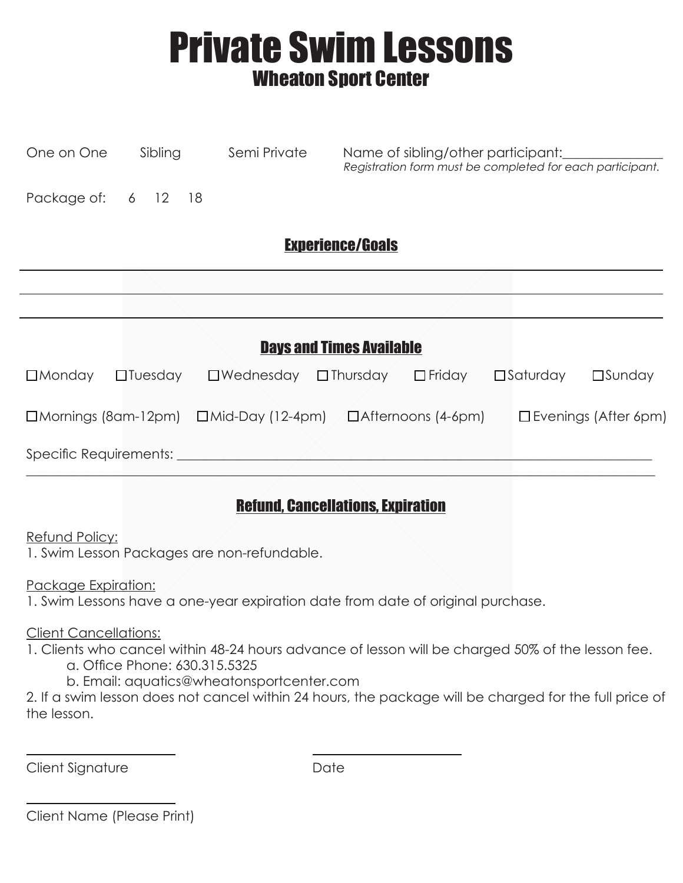## Private Swim Lessons Wheaton Sport Center

| One on One                                         | Sibling |                |                           | Semi Private     |  | Name of sibling/other participant:<br>Registration form must be completed for each participant. |               |                             |                    |                  |
|----------------------------------------------------|---------|----------------|---------------------------|------------------|--|-------------------------------------------------------------------------------------------------|---------------|-----------------------------|--------------------|------------------|
| Package of: 6 12                                   |         |                | - 18                      |                  |  |                                                                                                 |               |                             |                    |                  |
|                                                    |         |                |                           |                  |  | <b>Experience/Goals</b>                                                                         |               |                             |                    |                  |
|                                                    |         |                |                           |                  |  |                                                                                                 |               |                             |                    |                  |
|                                                    |         |                |                           |                  |  |                                                                                                 |               |                             |                    |                  |
|                                                    |         |                |                           |                  |  | <b>Days and Times Available</b>                                                                 |               |                             |                    |                  |
| $\Box$ Monday                                      |         | $\Box$ Tuesday |                           | $\Box$ Wednesday |  | $\square$ Thursday                                                                              | $\Box$ Friday |                             | $\square$ Saturday | $\square$ Sunday |
| $\Box$ Mornings (8am-12pm) $\Box$ Mid-Day (12-4pm) |         |                | $\Box$ Afternoons (4-6pm) |                  |  |                                                                                                 |               | $\Box$ Evenings (After 6pm) |                    |                  |
| Specific Requirements:                             |         |                |                           |                  |  |                                                                                                 |               |                             |                    |                  |

## Refund, Cancellations, Expiration

Refund Policy:

1. Swim Lesson Packages are non-refundable.

Package Expiration:

1. Swim Lessons have a one-year expiration date from date of original purchase.

Client Cancellations:

1. Clients who cancel within 48-24 hours advance of lesson will be charged 50% of the lesson fee.

 a. Office Phone: 630.315.5325

b. Email: aquatics@wheatonsportcenter.com

2. If a swim lesson does not cancel within 24 hours, the package will be charged for the full price of the lesson.

Client Signature

**Date** 

Client Name (Please Print)